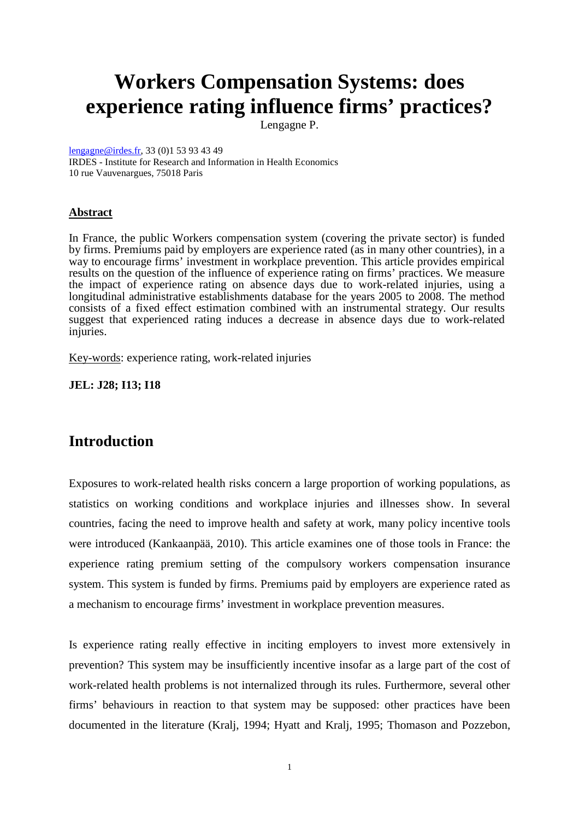# **Workers Compensation Systems: does experience rating influence firms' practices?**

Lengagne P.

lengagne@irdes.fr, 33 (0)1 53 93 43 49 IRDES - Institute for Research and Information in Health Economics 10 rue Vauvenargues, 75018 Paris

## **Abstract**

In France, the public Workers compensation system (covering the private sector) is funded by firms. Premiums paid by employers are experience rated (as in many other countries), in a way to encourage firms' investment in workplace prevention. This article provides empirical results on the question of the influence of experience rating on firms' practices. We measure the impact of experience rating on absence days due to work-related injuries, using a longitudinal administrative establishments database for the years 2005 to 2008. The method consists of a fixed effect estimation combined with an instrumental strategy. Our results suggest that experienced rating induces a decrease in absence days due to work-related injuries.

Key-words: experience rating, work-related injuries

**JEL: J28; I13; I18** 

# **Introduction**

Exposures to work-related health risks concern a large proportion of working populations, as statistics on working conditions and workplace injuries and illnesses show. In several countries, facing the need to improve health and safety at work, many policy incentive tools were introduced (Kankaanpää, 2010). This article examines one of those tools in France: the experience rating premium setting of the compulsory workers compensation insurance system. This system is funded by firms. Premiums paid by employers are experience rated as a mechanism to encourage firms' investment in workplace prevention measures.

Is experience rating really effective in inciting employers to invest more extensively in prevention? This system may be insufficiently incentive insofar as a large part of the cost of work-related health problems is not internalized through its rules. Furthermore, several other firms' behaviours in reaction to that system may be supposed: other practices have been documented in the literature (Kralj, 1994; Hyatt and Kralj, 1995; Thomason and Pozzebon,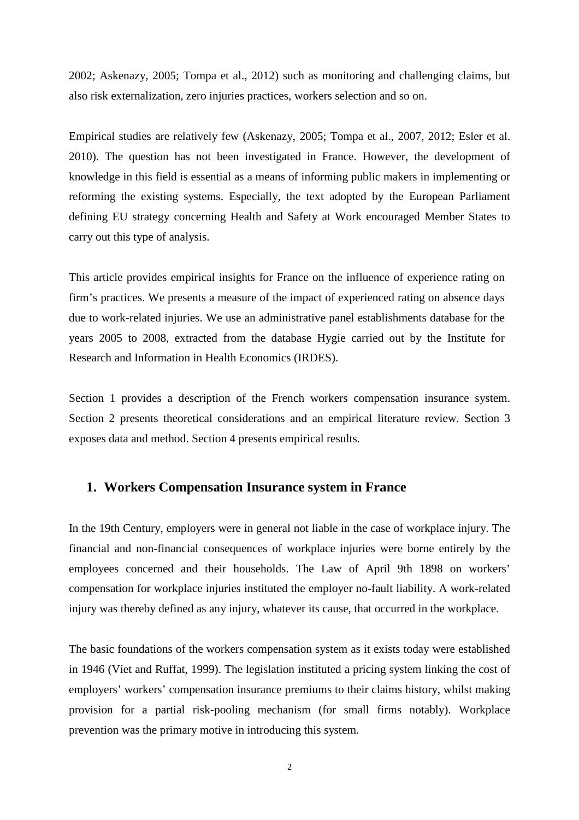2002; Askenazy, 2005; Tompa et al., 2012) such as monitoring and challenging claims, but also risk externalization, zero injuries practices, workers selection and so on.

Empirical studies are relatively few (Askenazy, 2005; Tompa et al., 2007, 2012; Esler et al. 2010). The question has not been investigated in France. However, the development of knowledge in this field is essential as a means of informing public makers in implementing or reforming the existing systems. Especially, the text adopted by the European Parliament defining EU strategy concerning Health and Safety at Work encouraged Member States to carry out this type of analysis.

This article provides empirical insights for France on the influence of experience rating on firm's practices. We presents a measure of the impact of experienced rating on absence days due to work-related injuries. We use an administrative panel establishments database for the years 2005 to 2008, extracted from the database Hygie carried out by the Institute for Research and Information in Health Economics (IRDES).

Section 1 provides a description of the French workers compensation insurance system. Section 2 presents theoretical considerations and an empirical literature review. Section 3 exposes data and method. Section 4 presents empirical results.

# **1. Workers Compensation Insurance system in France**

In the 19th Century, employers were in general not liable in the case of workplace injury. The financial and non-financial consequences of workplace injuries were borne entirely by the employees concerned and their households. The Law of April 9th 1898 on workers' compensation for workplace injuries instituted the employer no-fault liability. A work-related injury was thereby defined as any injury, whatever its cause, that occurred in the workplace.

The basic foundations of the workers compensation system as it exists today were established in 1946 (Viet and Ruffat, 1999). The legislation instituted a pricing system linking the cost of employers' workers' compensation insurance premiums to their claims history, whilst making provision for a partial risk-pooling mechanism (for small firms notably). Workplace prevention was the primary motive in introducing this system.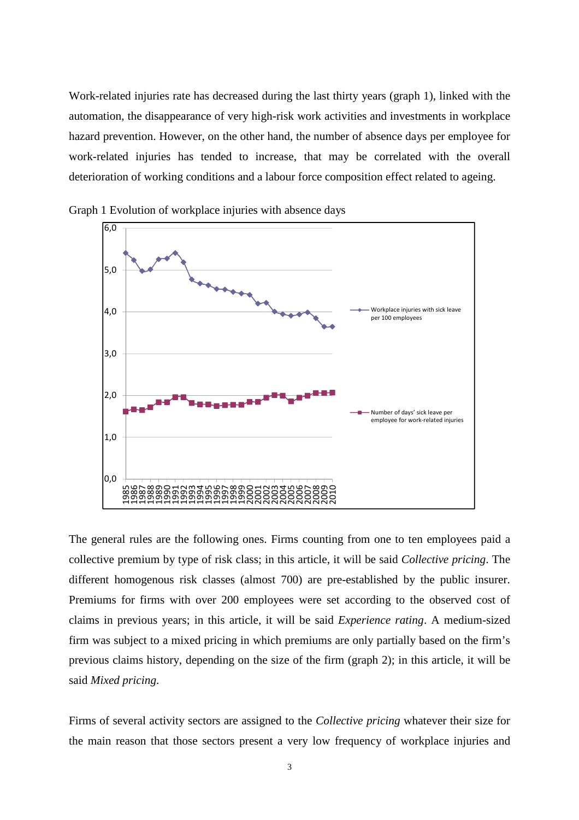Work-related injuries rate has decreased during the last thirty years (graph 1), linked with the automation, the disappearance of very high-risk work activities and investments in workplace hazard prevention. However, on the other hand, the number of absence days per employee for work-related injuries has tended to increase, that may be correlated with the overall deterioration of working conditions and a labour force composition effect related to ageing.



Graph 1 Evolution of workplace injuries with absence days

The general rules are the following ones. Firms counting from one to ten employees paid a collective premium by type of risk class; in this article, it will be said *Collective pricing*. The different homogenous risk classes (almost 700) are pre-established by the public insurer. Premiums for firms with over 200 employees were set according to the observed cost of claims in previous years; in this article, it will be said *Experience rating*. A medium-sized firm was subject to a mixed pricing in which premiums are only partially based on the firm's previous claims history, depending on the size of the firm (graph 2); in this article, it will be said *Mixed pricing*.

Firms of several activity sectors are assigned to the *Collective pricing* whatever their size for the main reason that those sectors present a very low frequency of workplace injuries and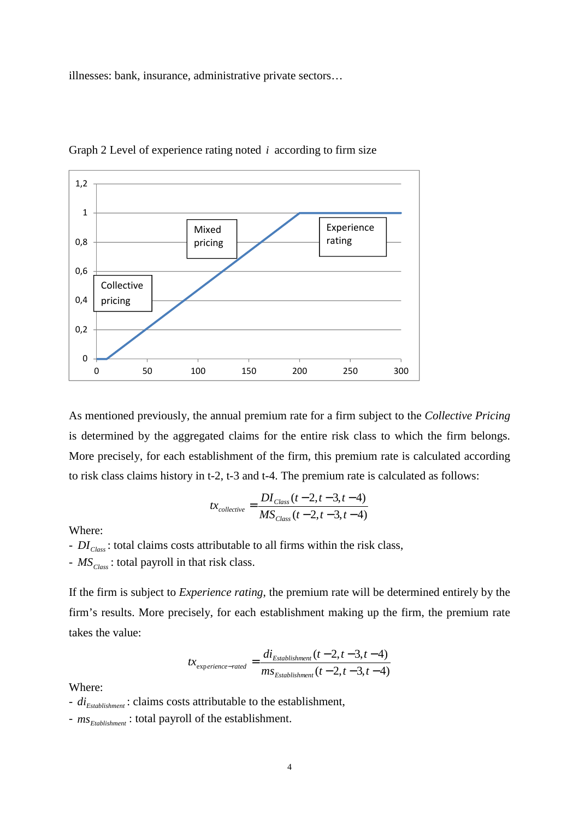illnesses: bank, insurance, administrative private sectors…



Graph 2 Level of experience rating noted *i* according to firm size

As mentioned previously, the annual premium rate for a firm subject to the *Collective Pricing* is determined by the aggregated claims for the entire risk class to which the firm belongs. More precisely, for each establishment of the firm, this premium rate is calculated according to risk class claims history in t-2, t-3 and t-4. The premium rate is calculated as follows:

$$
tx_{collective} = \frac{DI_{Class}(t-2, t-3, t-4)}{MS_{Class}(t-2, t-3, t-4)}
$$

Where:

- *DIClass* : total claims costs attributable to all firms within the risk class,

- *MSClass* : total payroll in that risk class.

If the firm is subject to *Experience rating*, the premium rate will be determined entirely by the firm's results. More precisely, for each establishment making up the firm, the premium rate takes the value:

$$
tx_{\text{experience-rated}} = \frac{di_{\text{Estabilishment}}(t-2, t-3, t-4)}{ms_{\text{Estabilishment}}(t-2, t-3, t-4)}
$$

Where:

- *diEstablishment* : claims costs attributable to the establishment,
- *msEtablishment* : total payroll of the establishment.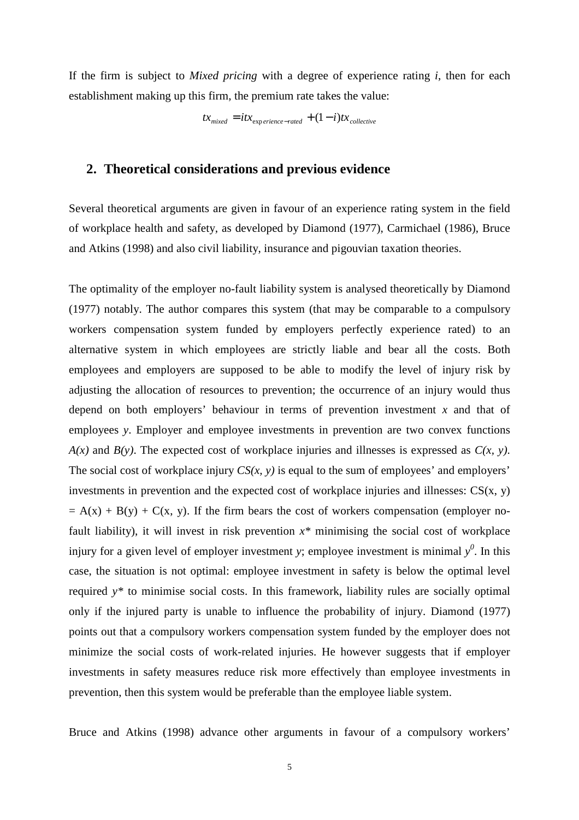If the firm is subject to *Mixed pricing* with a degree of experience rating *i*, then for each establishment making up this firm, the premium rate takes the value:

 $tx_{mixed} = itx_{exp,erience-rate} + (1-i)tx_{collective}$ 

# **2. Theoretical considerations and previous evidence**

Several theoretical arguments are given in favour of an experience rating system in the field of workplace health and safety, as developed by Diamond (1977), Carmichael (1986), Bruce and Atkins (1998) and also civil liability, insurance and pigouvian taxation theories.

The optimality of the employer no-fault liability system is analysed theoretically by Diamond (1977) notably. The author compares this system (that may be comparable to a compulsory workers compensation system funded by employers perfectly experience rated) to an alternative system in which employees are strictly liable and bear all the costs. Both employees and employers are supposed to be able to modify the level of injury risk by adjusting the allocation of resources to prevention; the occurrence of an injury would thus depend on both employers' behaviour in terms of prevention investment *x* and that of employees *y*. Employer and employee investments in prevention are two convex functions *A(x)* and *B(y)*. The expected cost of workplace injuries and illnesses is expressed as *C(x, y)*. The social cost of workplace injury  $CS(x, y)$  is equal to the sum of employees' and employers' investments in prevention and the expected cost of workplace injuries and illnesses:  $CS(x, y)$  $= A(x) + B(y) + C(x, y)$ . If the firm bears the cost of workers compensation (employer nofault liability), it will invest in risk prevention *x\** minimising the social cost of workplace injury for a given level of employer investment *y*; employee investment is minimal  $y^0$ . In this case, the situation is not optimal: employee investment in safety is below the optimal level required *y\** to minimise social costs. In this framework, liability rules are socially optimal only if the injured party is unable to influence the probability of injury. Diamond (1977) points out that a compulsory workers compensation system funded by the employer does not minimize the social costs of work-related injuries. He however suggests that if employer investments in safety measures reduce risk more effectively than employee investments in prevention, then this system would be preferable than the employee liable system.

Bruce and Atkins (1998) advance other arguments in favour of a compulsory workers'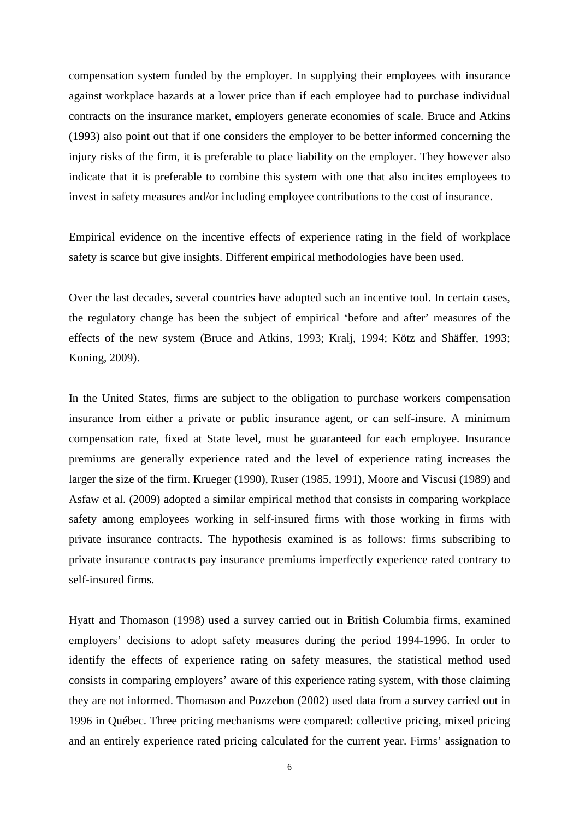compensation system funded by the employer. In supplying their employees with insurance against workplace hazards at a lower price than if each employee had to purchase individual contracts on the insurance market, employers generate economies of scale. Bruce and Atkins (1993) also point out that if one considers the employer to be better informed concerning the injury risks of the firm, it is preferable to place liability on the employer. They however also indicate that it is preferable to combine this system with one that also incites employees to invest in safety measures and/or including employee contributions to the cost of insurance.

Empirical evidence on the incentive effects of experience rating in the field of workplace safety is scarce but give insights. Different empirical methodologies have been used.

Over the last decades, several countries have adopted such an incentive tool. In certain cases, the regulatory change has been the subject of empirical 'before and after' measures of the effects of the new system (Bruce and Atkins, 1993; Kralj, 1994; Kötz and Shäffer, 1993; Koning, 2009).

In the United States, firms are subject to the obligation to purchase workers compensation insurance from either a private or public insurance agent, or can self-insure. A minimum compensation rate, fixed at State level, must be guaranteed for each employee. Insurance premiums are generally experience rated and the level of experience rating increases the larger the size of the firm. Krueger (1990), Ruser (1985, 1991), Moore and Viscusi (1989) and Asfaw et al. (2009) adopted a similar empirical method that consists in comparing workplace safety among employees working in self-insured firms with those working in firms with private insurance contracts. The hypothesis examined is as follows: firms subscribing to private insurance contracts pay insurance premiums imperfectly experience rated contrary to self-insured firms.

Hyatt and Thomason (1998) used a survey carried out in British Columbia firms, examined employers' decisions to adopt safety measures during the period 1994-1996. In order to identify the effects of experience rating on safety measures, the statistical method used consists in comparing employers' aware of this experience rating system, with those claiming they are not informed. Thomason and Pozzebon (2002) used data from a survey carried out in 1996 in Québec. Three pricing mechanisms were compared: collective pricing, mixed pricing and an entirely experience rated pricing calculated for the current year. Firms' assignation to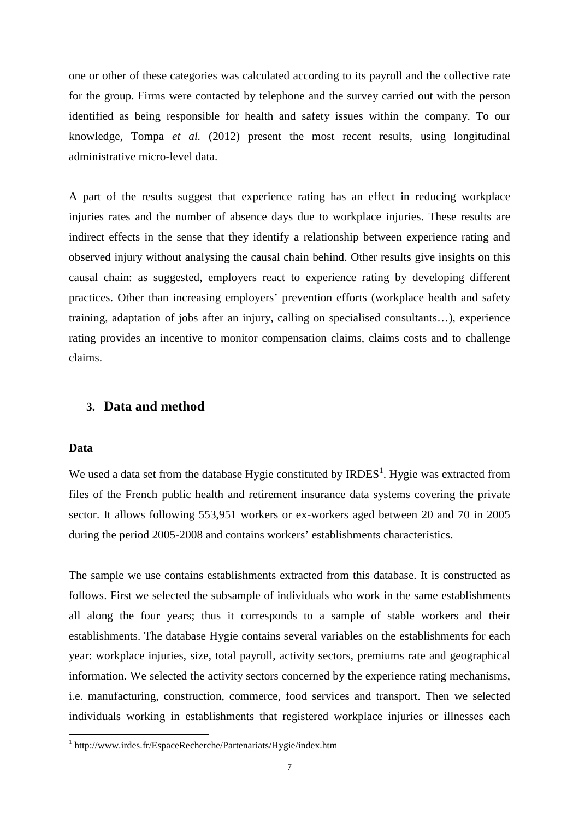one or other of these categories was calculated according to its payroll and the collective rate for the group. Firms were contacted by telephone and the survey carried out with the person identified as being responsible for health and safety issues within the company. To our knowledge, Tompa *et al.* (2012) present the most recent results, using longitudinal administrative micro-level data.

A part of the results suggest that experience rating has an effect in reducing workplace injuries rates and the number of absence days due to workplace injuries. These results are indirect effects in the sense that they identify a relationship between experience rating and observed injury without analysing the causal chain behind. Other results give insights on this causal chain: as suggested, employers react to experience rating by developing different practices. Other than increasing employers' prevention efforts (workplace health and safety training, adaptation of jobs after an injury, calling on specialised consultants…), experience rating provides an incentive to monitor compensation claims, claims costs and to challenge claims.

#### **3. Data and method**

#### **Data**

l

We used a data set from the database Hygie constituted by  $IRDES<sup>1</sup>$ . Hygie was extracted from files of the French public health and retirement insurance data systems covering the private sector. It allows following 553,951 workers or ex-workers aged between 20 and 70 in 2005 during the period 2005-2008 and contains workers' establishments characteristics.

The sample we use contains establishments extracted from this database. It is constructed as follows. First we selected the subsample of individuals who work in the same establishments all along the four years; thus it corresponds to a sample of stable workers and their establishments. The database Hygie contains several variables on the establishments for each year: workplace injuries, size, total payroll, activity sectors, premiums rate and geographical information. We selected the activity sectors concerned by the experience rating mechanisms, i.e. manufacturing, construction, commerce, food services and transport. Then we selected individuals working in establishments that registered workplace injuries or illnesses each

<sup>1</sup> http://www.irdes.fr/EspaceRecherche/Partenariats/Hygie/index.htm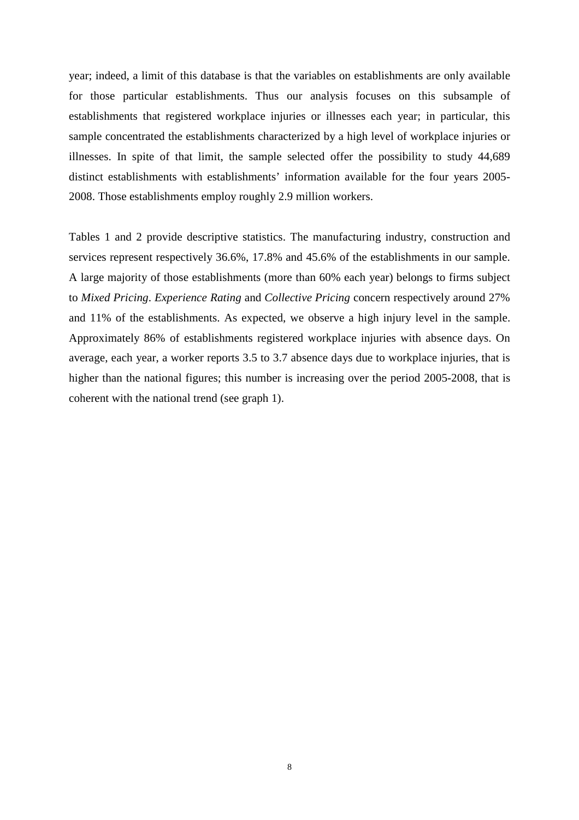year; indeed, a limit of this database is that the variables on establishments are only available for those particular establishments. Thus our analysis focuses on this subsample of establishments that registered workplace injuries or illnesses each year; in particular, this sample concentrated the establishments characterized by a high level of workplace injuries or illnesses. In spite of that limit, the sample selected offer the possibility to study 44,689 distinct establishments with establishments' information available for the four years 2005- 2008. Those establishments employ roughly 2.9 million workers.

Tables 1 and 2 provide descriptive statistics. The manufacturing industry, construction and services represent respectively 36.6%, 17.8% and 45.6% of the establishments in our sample. A large majority of those establishments (more than 60% each year) belongs to firms subject to *Mixed Pricing*. *Experience Rating* and *Collective Pricing* concern respectively around 27% and 11% of the establishments. As expected, we observe a high injury level in the sample. Approximately 86% of establishments registered workplace injuries with absence days. On average, each year, a worker reports 3.5 to 3.7 absence days due to workplace injuries, that is higher than the national figures; this number is increasing over the period 2005-2008, that is coherent with the national trend (see graph 1).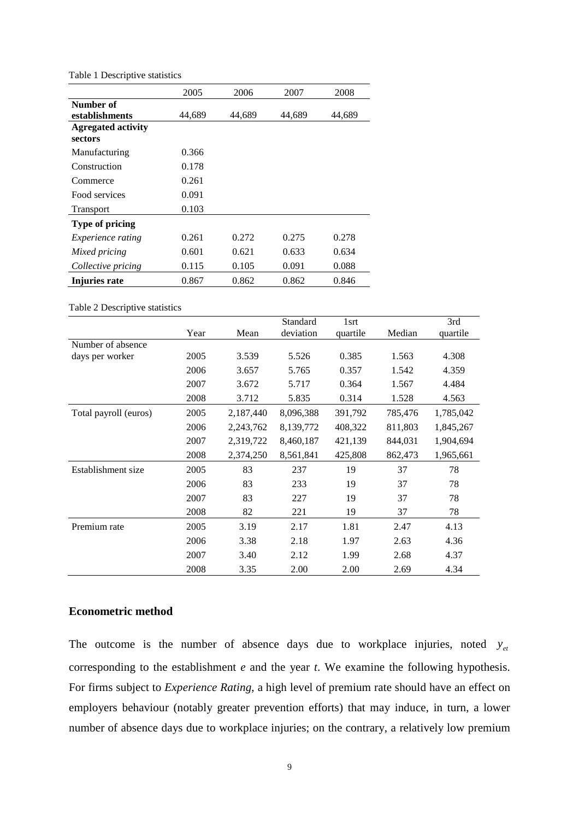|                                      | 2005   | 2006   | 2007   | 2008   |
|--------------------------------------|--------|--------|--------|--------|
| Number of<br>establishments          | 44,689 | 44,689 | 44,689 | 44,689 |
| <b>Agregated activity</b><br>sectors |        |        |        |        |
| Manufacturing                        | 0.366  |        |        |        |
| Construction                         | 0.178  |        |        |        |
| Commerce                             | 0.261  |        |        |        |
| Food services                        | 0.091  |        |        |        |
| <b>Transport</b>                     | 0.103  |        |        |        |
| Type of pricing                      |        |        |        |        |
| Experience rating                    | 0.261  | 0.272  | 0.275  | 0.278  |
| Mixed pricing                        | 0.601  | 0.621  | 0.633  | 0.634  |
| Collective pricing                   | 0.115  | 0.105  | 0.091  | 0.088  |
| Injuries rate                        | 0.867  | 0.862  | 0.862  | 0.846  |

Table 1 Descriptive statistics

Table 2 Descriptive statistics

|                       |      |           | Standard  | 1srt     |         | 3rd       |
|-----------------------|------|-----------|-----------|----------|---------|-----------|
|                       | Year | Mean      | deviation | quartile | Median  | quartile  |
| Number of absence     |      |           |           |          |         |           |
| days per worker       | 2005 | 3.539     | 5.526     | 0.385    | 1.563   | 4.308     |
|                       | 2006 | 3.657     | 5.765     | 0.357    | 1.542   | 4.359     |
|                       | 2007 | 3.672     | 5.717     | 0.364    | 1.567   | 4.484     |
|                       | 2008 | 3.712     | 5.835     | 0.314    | 1.528   | 4.563     |
| Total payroll (euros) | 2005 | 2,187,440 | 8,096,388 | 391,792  | 785,476 | 1,785,042 |
|                       | 2006 | 2,243,762 | 8,139,772 | 408,322  | 811,803 | 1,845,267 |
|                       | 2007 | 2,319,722 | 8,460,187 | 421,139  | 844,031 | 1,904,694 |
|                       | 2008 | 2,374,250 | 8,561,841 | 425,808  | 862,473 | 1,965,661 |
| Establishment size    | 2005 | 83        | 237       | 19       | 37      | 78        |
|                       | 2006 | 83        | 233       | 19       | 37      | 78        |
|                       | 2007 | 83        | 227       | 19       | 37      | 78        |
|                       | 2008 | 82        | 221       | 19       | 37      | 78        |
| Premium rate          | 2005 | 3.19      | 2.17      | 1.81     | 2.47    | 4.13      |
|                       | 2006 | 3.38      | 2.18      | 1.97     | 2.63    | 4.36      |
|                       | 2007 | 3.40      | 2.12      | 1.99     | 2.68    | 4.37      |
|                       | 2008 | 3.35      | 2.00      | 2.00     | 2.69    | 4.34      |

#### **Econometric method**

The outcome is the number of absence days due to workplace injuries, noted  $y_{et}$ corresponding to the establishment *e* and the year *t*. We examine the following hypothesis. For firms subject to *Experience Rating*, a high level of premium rate should have an effect on employers behaviour (notably greater prevention efforts) that may induce, in turn, a lower number of absence days due to workplace injuries; on the contrary, a relatively low premium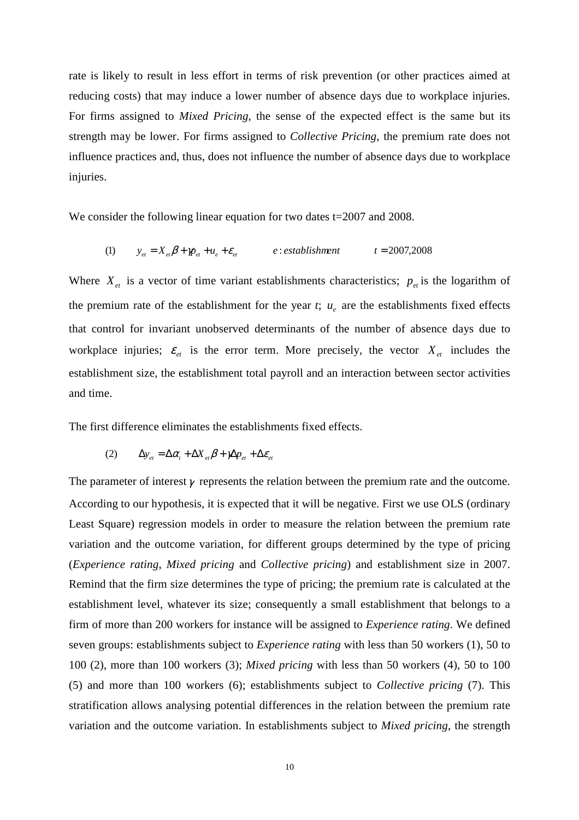rate is likely to result in less effort in terms of risk prevention (or other practices aimed at reducing costs) that may induce a lower number of absence days due to workplace injuries. For firms assigned to *Mixed Pricing*, the sense of the expected effect is the same but its strength may be lower. For firms assigned to *Collective Pricing*, the premium rate does not influence practices and, thus, does not influence the number of absence days due to workplace injuries.

We consider the following linear equation for two dates t=2007 and 2008.

$$
\text{(1)} \qquad y_{et} = X_{et} \beta + \gamma p_{et} + u_e + \varepsilon_{et} \qquad \qquad e: \text{establishment} \qquad \qquad t = 2007,2008
$$

Where  $X_{et}$  is a vector of time variant establishments characteristics;  $p_{et}$  is the logarithm of the premium rate of the establishment for the year  $t$ ;  $u_e$  are the establishments fixed effects that control for invariant unobserved determinants of the number of absence days due to workplace injuries;  $\varepsilon_{et}$  is the error term. More precisely, the vector  $X_{et}$  includes the establishment size, the establishment total payroll and an interaction between sector activities and time.

The first difference eliminates the establishments fixed effects.

$$
(2) \qquad \Delta y_{et} = \Delta \alpha_t + \Delta X_{et} \beta + \gamma \Delta p_{et} + \Delta \varepsilon_{et}
$$

The parameter of interest  $\gamma$  represents the relation between the premium rate and the outcome. According to our hypothesis, it is expected that it will be negative. First we use OLS (ordinary Least Square) regression models in order to measure the relation between the premium rate variation and the outcome variation, for different groups determined by the type of pricing (*Experience rating*, *Mixed pricing* and *Collective pricing*) and establishment size in 2007. Remind that the firm size determines the type of pricing; the premium rate is calculated at the establishment level, whatever its size; consequently a small establishment that belongs to a firm of more than 200 workers for instance will be assigned to *Experience rating*. We defined seven groups: establishments subject to *Experience rating* with less than 50 workers (1), 50 to 100 (2), more than 100 workers (3); *Mixed pricing* with less than 50 workers (4), 50 to 100 (5) and more than 100 workers (6); establishments subject to *Collective pricing* (7). This stratification allows analysing potential differences in the relation between the premium rate variation and the outcome variation. In establishments subject to *Mixed pricing*, the strength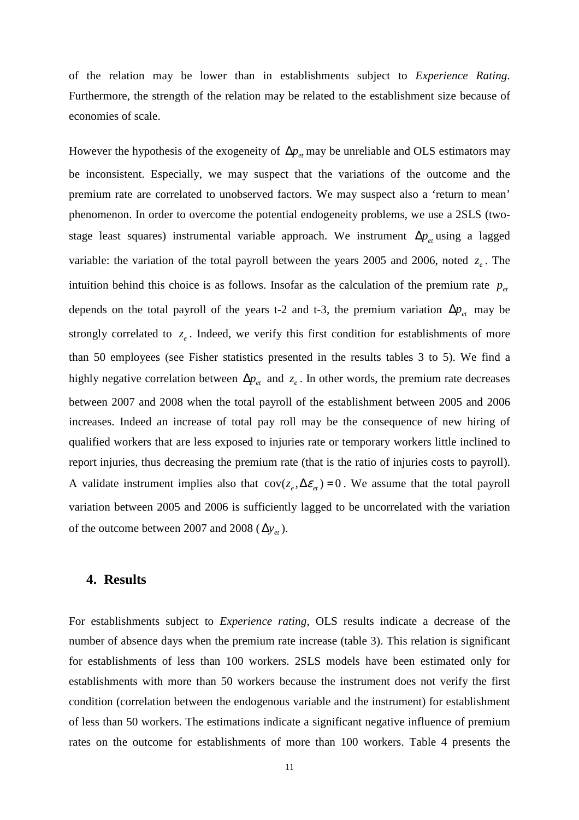of the relation may be lower than in establishments subject to *Experience Rating*. Furthermore, the strength of the relation may be related to the establishment size because of economies of scale.

However the hypothesis of the exogeneity of  $\Delta p_{et}$  may be unreliable and OLS estimators may be inconsistent. Especially, we may suspect that the variations of the outcome and the premium rate are correlated to unobserved factors. We may suspect also a 'return to mean' phenomenon. In order to overcome the potential endogeneity problems, we use a 2SLS (twostage least squares) instrumental variable approach. We instrument  $\Delta p_{\nu}$  using a lagged variable: the variation of the total payroll between the years 2005 and 2006, noted  $z_e$ . The intuition behind this choice is as follows. Insofar as the calculation of the premium rate  $p_{at}$ depends on the total payroll of the years t-2 and t-3, the premium variation  $\Delta p_{et}$  may be strongly correlated to  $z_e$ . Indeed, we verify this first condition for establishments of more than 50 employees (see Fisher statistics presented in the results tables 3 to 5). We find a highly negative correlation between  $\Delta p_{et}$  and  $z_e$ . In other words, the premium rate decreases between 2007 and 2008 when the total payroll of the establishment between 2005 and 2006 increases. Indeed an increase of total pay roll may be the consequence of new hiring of qualified workers that are less exposed to injuries rate or temporary workers little inclined to report injuries, thus decreasing the premium rate (that is the ratio of injuries costs to payroll). A validate instrument implies also that  $cov(z_e, \Delta \varepsilon_{et}) = 0$ . We assume that the total payroll variation between 2005 and 2006 is sufficiently lagged to be uncorrelated with the variation of the outcome between 2007 and 2008 ( $\Delta y_{et}$ ).

### **4. Results**

For establishments subject to *Experience rating*, OLS results indicate a decrease of the number of absence days when the premium rate increase (table 3). This relation is significant for establishments of less than 100 workers. 2SLS models have been estimated only for establishments with more than 50 workers because the instrument does not verify the first condition (correlation between the endogenous variable and the instrument) for establishment of less than 50 workers. The estimations indicate a significant negative influence of premium rates on the outcome for establishments of more than 100 workers. Table 4 presents the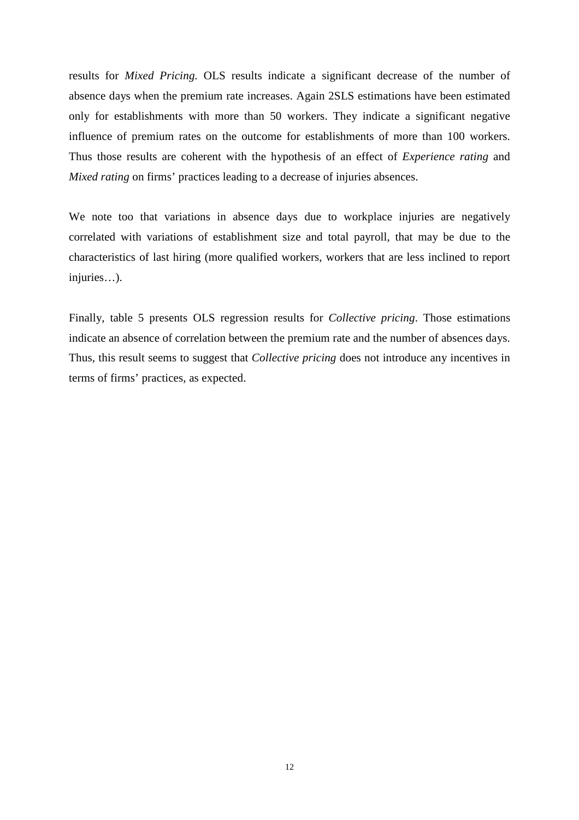results for *Mixed Pricing.* OLS results indicate a significant decrease of the number of absence days when the premium rate increases. Again 2SLS estimations have been estimated only for establishments with more than 50 workers. They indicate a significant negative influence of premium rates on the outcome for establishments of more than 100 workers. Thus those results are coherent with the hypothesis of an effect of *Experience rating* and *Mixed rating* on firms' practices leading to a decrease of injuries absences.

We note too that variations in absence days due to workplace injuries are negatively correlated with variations of establishment size and total payroll, that may be due to the characteristics of last hiring (more qualified workers, workers that are less inclined to report injuries…).

Finally, table 5 presents OLS regression results for *Collective pricing*. Those estimations indicate an absence of correlation between the premium rate and the number of absences days. Thus, this result seems to suggest that *Collective pricing* does not introduce any incentives in terms of firms' practices, as expected.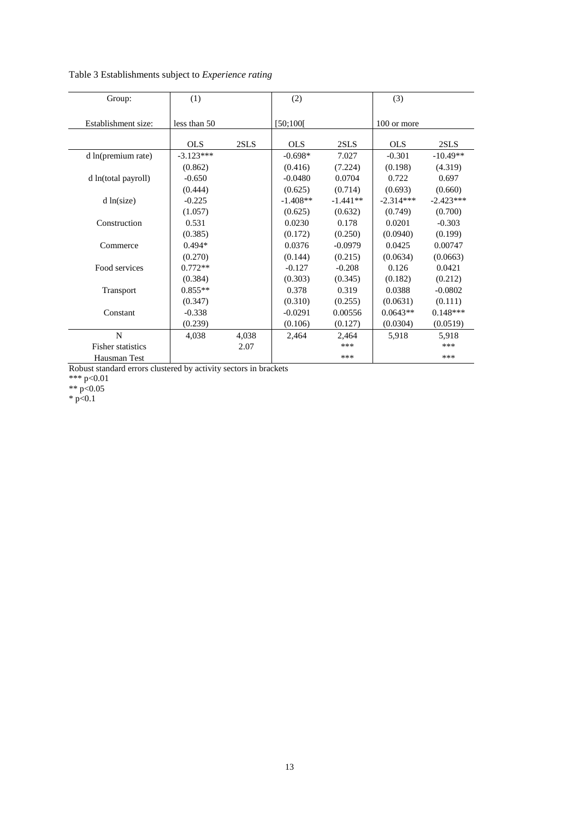Table 3 Establishments subject to *Experience rating*

| Group:                   | (1)             |       | (2)        |            | (3)         |             |
|--------------------------|-----------------|-------|------------|------------|-------------|-------------|
| Establishment size:      | less than 50    |       | [50;100]   |            | 100 or more |             |
|                          | OLS <sub></sub> | 2SLS  | <b>OLS</b> | 2SLS       | <b>OLS</b>  | 2SLS        |
| d ln(premium rate)       | $-3.123***$     |       | $-0.698*$  | 7.027      | $-0.301$    | $-10.49**$  |
|                          | (0.862)         |       | (0.416)    | (7.224)    | (0.198)     | (4.319)     |
| d ln(total payroll)      | $-0.650$        |       | $-0.0480$  | 0.0704     | 0.722       | 0.697       |
|                          | (0.444)         |       | (0.625)    | (0.714)    | (0.693)     | (0.660)     |
| d ln(size)               | $-0.225$        |       | $-1.408**$ | $-1.441**$ | $-2.314***$ | $-2.423***$ |
|                          | (1.057)         |       | (0.625)    | (0.632)    | (0.749)     | (0.700)     |
| Construction             | 0.531           |       | 0.0230     | 0.178      | 0.0201      | $-0.303$    |
|                          | (0.385)         |       | (0.172)    | (0.250)    | (0.0940)    | (0.199)     |
| Commerce                 | $0.494*$        |       | 0.0376     | $-0.0979$  | 0.0425      | 0.00747     |
|                          | (0.270)         |       | (0.144)    | (0.215)    | (0.0634)    | (0.0663)    |
| Food services            | $0.772**$       |       | $-0.127$   | $-0.208$   | 0.126       | 0.0421      |
|                          | (0.384)         |       | (0.303)    | (0.345)    | (0.182)     | (0.212)     |
| Transport                | $0.855**$       |       | 0.378      | 0.319      | 0.0388      | $-0.0802$   |
|                          | (0.347)         |       | (0.310)    | (0.255)    | (0.0631)    | (0.111)     |
| Constant                 | $-0.338$        |       | $-0.0291$  | 0.00556    | $0.0643**$  | $0.148***$  |
|                          | (0.239)         |       | (0.106)    | (0.127)    | (0.0304)    | (0.0519)    |
| N                        | 4,038           | 4,038 | 2,464      | 2,464      | 5,918       | 5,918       |
| <b>Fisher statistics</b> |                 | 2.07  |            | ***        |             | ***         |
| Hausman Test             |                 |       |            | ***        |             | ***         |

Robust standard errors clustered by activity sectors in brackets

\*\*\* p<0.01

\*\*  $p<0.05$ 

 $*$  p<0.1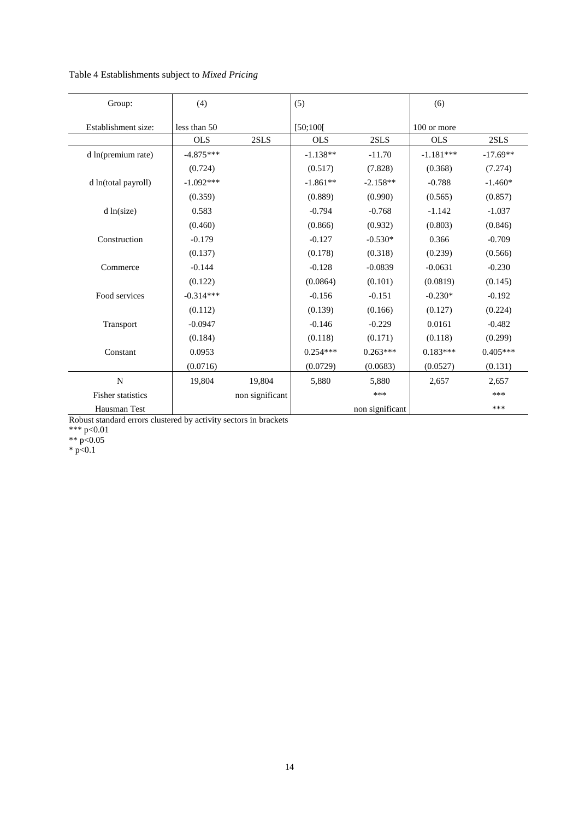| Table 4 Establishments subject to Mixed Pricing |  |  |
|-------------------------------------------------|--|--|
|                                                 |  |  |

| Group:                   | (4)          |                 | (5)        |                 | (6)         |            |
|--------------------------|--------------|-----------------|------------|-----------------|-------------|------------|
| Establishment size:      | less than 50 |                 | [50;100]   |                 | 100 or more |            |
|                          | <b>OLS</b>   | 2SLS            | <b>OLS</b> | 2SLS            | <b>OLS</b>  | 2SLS       |
| d ln(premium rate)       | $-4.875***$  |                 | $-1.138**$ | $-11.70$        | $-1.181***$ | $-17.69**$ |
|                          | (0.724)      |                 | (0.517)    | (7.828)         | (0.368)     | (7.274)    |
| d ln(total payroll)      | $-1.092***$  |                 | $-1.861**$ | $-2.158**$      | $-0.788$    | $-1.460*$  |
|                          | (0.359)      |                 | (0.889)    | (0.990)         | (0.565)     | (0.857)    |
| d ln(size)               | 0.583        |                 | $-0.794$   | $-0.768$        | $-1.142$    | $-1.037$   |
|                          | (0.460)      |                 | (0.866)    | (0.932)         | (0.803)     | (0.846)    |
| Construction             | $-0.179$     |                 | $-0.127$   | $-0.530*$       | 0.366       | $-0.709$   |
|                          | (0.137)      |                 | (0.178)    | (0.318)         | (0.239)     | (0.566)    |
| Commerce                 | $-0.144$     |                 | $-0.128$   | $-0.0839$       | $-0.0631$   | $-0.230$   |
|                          | (0.122)      |                 | (0.0864)   | (0.101)         | (0.0819)    | (0.145)    |
| Food services            | $-0.314***$  |                 | $-0.156$   | $-0.151$        | $-0.230*$   | $-0.192$   |
|                          | (0.112)      |                 | (0.139)    | (0.166)         | (0.127)     | (0.224)    |
| Transport                | $-0.0947$    |                 | $-0.146$   | $-0.229$        | 0.0161      | $-0.482$   |
|                          | (0.184)      |                 | (0.118)    | (0.171)         | (0.118)     | (0.299)    |
| Constant                 | 0.0953       |                 | $0.254***$ | $0.263***$      | $0.183***$  | $0.405***$ |
|                          | (0.0716)     |                 | (0.0729)   | (0.0683)        | (0.0527)    | (0.131)    |
| $\mathbf N$              | 19,804       | 19,804          | 5,880      | 5,880           | 2,657       | 2,657      |
| <b>Fisher statistics</b> |              | non significant |            | ***             |             | ***        |
| Hausman Test             |              |                 |            | non significant |             | ***        |

Robust standard errors clustered by activity sectors in brackets

\*\*\* p<0.01

\*\*  $p<0.05$ 

 $*$  p<0.1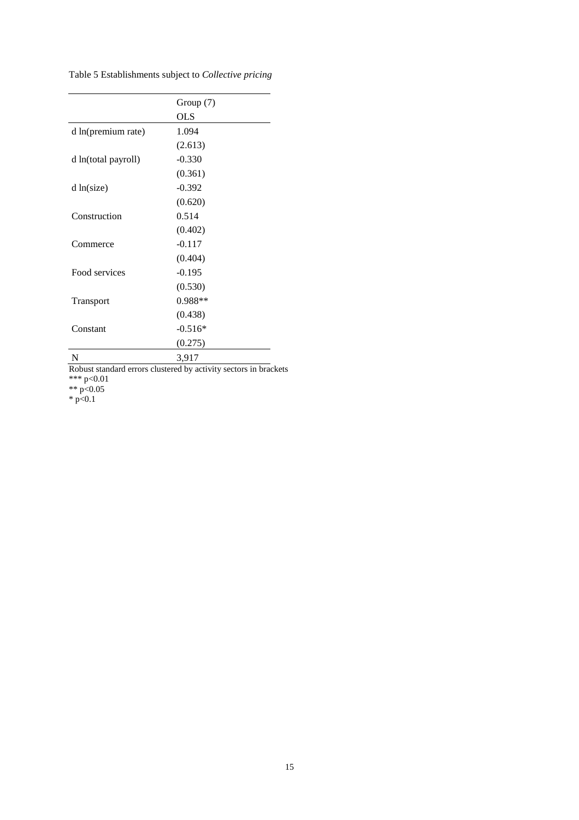Table 5 Establishments subject to *Collective pricing*

|                     | Group (7)  |
|---------------------|------------|
|                     | <b>OLS</b> |
| d ln(premium rate)  | 1.094      |
|                     | (2.613)    |
| d ln(total payroll) | $-0.330$   |
|                     | (0.361)    |
| d ln(size)          | $-0.392$   |
|                     | (0.620)    |
| Construction        | 0.514      |
|                     | (0.402)    |
| Commerce            | $-0.117$   |
|                     | (0.404)    |
| Food services       | $-0.195$   |
|                     | (0.530)    |
| Transport           | $0.988**$  |
|                     | (0.438)    |
| Constant            | $-0.516*$  |
|                     | (0.275)    |
| N                   | 3,917      |

Robust standard errors clustered by activity sectors in brackets

\*\*\* p<0.01

\*\*  $p<0.05$ 

 $*$  p<0.1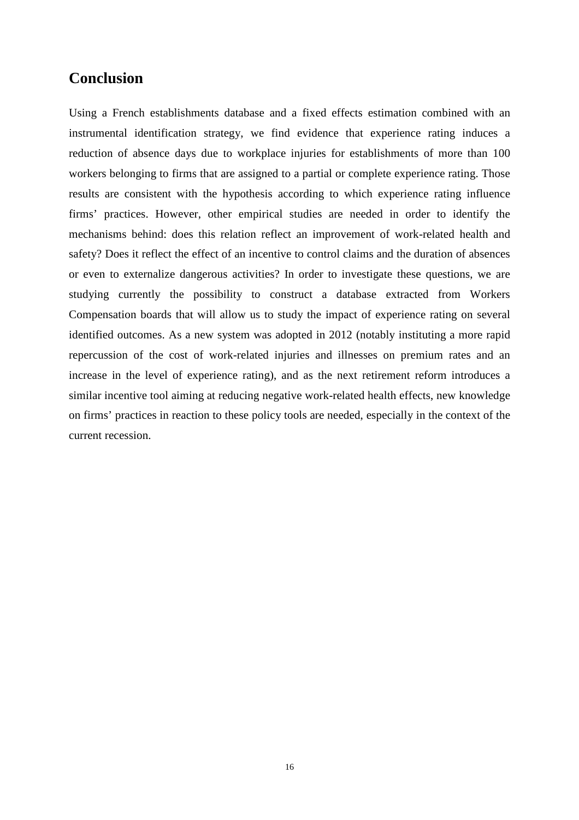# **Conclusion**

Using a French establishments database and a fixed effects estimation combined with an instrumental identification strategy, we find evidence that experience rating induces a reduction of absence days due to workplace injuries for establishments of more than 100 workers belonging to firms that are assigned to a partial or complete experience rating. Those results are consistent with the hypothesis according to which experience rating influence firms' practices. However, other empirical studies are needed in order to identify the mechanisms behind: does this relation reflect an improvement of work-related health and safety? Does it reflect the effect of an incentive to control claims and the duration of absences or even to externalize dangerous activities? In order to investigate these questions, we are studying currently the possibility to construct a database extracted from Workers Compensation boards that will allow us to study the impact of experience rating on several identified outcomes. As a new system was adopted in 2012 (notably instituting a more rapid repercussion of the cost of work-related injuries and illnesses on premium rates and an increase in the level of experience rating), and as the next retirement reform introduces a similar incentive tool aiming at reducing negative work-related health effects, new knowledge on firms' practices in reaction to these policy tools are needed, especially in the context of the current recession.